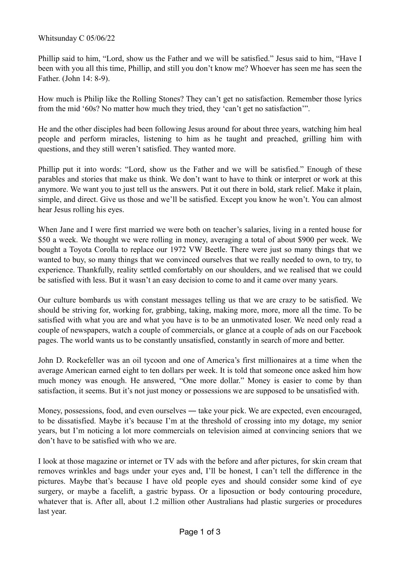## Whitsunday C 05/06/22

Phillip said to him, "Lord, show us the Father and we will be satisfied." Jesus said to him, "Have I been with you all this time, Phillip, and still you don't know me? Whoever has seen me has seen the Father. (John 14: 8-9).

How much is Philip like the Rolling Stones? They can't get no satisfaction. Remember those lyrics from the mid '60s? No matter how much they tried, they 'can't get no satisfaction'".

He and the other disciples had been following Jesus around for about three years, watching him heal people and perform miracles, listening to him as he taught and preached, grilling him with questions, and they still weren't satisfied. They wanted more.

Phillip put it into words: "Lord, show us the Father and we will be satisfied." Enough of these parables and stories that make us think. We don't want to have to think or interpret or work at this anymore. We want you to just tell us the answers. Put it out there in bold, stark relief. Make it plain, simple, and direct. Give us those and we'll be satisfied. Except you know he won't. You can almost hear Jesus rolling his eyes.

When Jane and I were first married we were both on teacher's salaries, living in a rented house for \$50 a week. We thought we were rolling in money, averaging a total of about \$900 per week. We bought a Toyota Corolla to replace our 1972 VW Beetle. There were just so many things that we wanted to buy, so many things that we convinced ourselves that we really needed to own, to try, to experience. Thankfully, reality settled comfortably on our shoulders, and we realised that we could be satisfied with less. But it wasn't an easy decision to come to and it came over many years.

Our culture bombards us with constant messages telling us that we are crazy to be satisfied. We should be striving for, working for, grabbing, taking, making more, more, more all the time. To be satisfied with what you are and what you have is to be an unmotivated loser. We need only read a couple of newspapers, watch a couple of commercials, or glance at a couple of ads on our Facebook pages. The world wants us to be constantly unsatisfied, constantly in search of more and better.

John D. Rockefeller was an oil tycoon and one of America's first millionaires at a time when the average American earned eight to ten dollars per week. It is told that someone once asked him how much money was enough. He answered, "One more dollar." Money is easier to come by than satisfaction, it seems. But it's not just money or possessions we are supposed to be unsatisfied with.

Money, possessions, food, and even ourselves — take your pick. We are expected, even encouraged, to be dissatisfied. Maybe it's because I'm at the threshold of crossing into my dotage, my senior years, but I'm noticing a lot more commercials on television aimed at convincing seniors that we don't have to be satisfied with who we are.

I look at those magazine or internet or TV ads with the before and after pictures, for skin cream that removes wrinkles and bags under your eyes and, I'll be honest, I can't tell the difference in the pictures. Maybe that's because I have old people eyes and should consider some kind of eye surgery, or maybe a facelift, a gastric bypass. Or a liposuction or body contouring procedure, whatever that is. After all, about 1.2 million other Australians had plastic surgeries or procedures last year.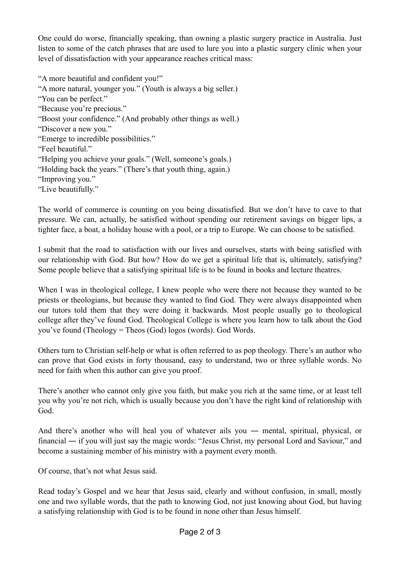One could do worse, financially speaking, than owning a plastic surgery practice in Australia. Just listen to some of the catch phrases that are used to lure you into a plastic surgery clinic when your level of dissatisfaction with your appearance reaches critical mass:

"A more beautiful and confident you!" "A more natural, younger you." (Youth is always a big seller.) "You can be perfect." "Because you're precious." "Boost your confidence." (And probably other things as well.) "Discover a new you." "Emerge to incredible possibilities." "Feel beautiful." "Helping you achieve your goals." (Well, someone's goals.) "Holding back the years." (There's that youth thing, again.) "Improving you." "Live beautifully."

The world of commerce is counting on you being dissatisfied. But we don't have to cave to that pressure. We can, actually, be satisfied without spending our retirement savings on bigger lips, a tighter face, a boat, a holiday house with a pool, or a trip to Europe. We can choose to be satisfied.

I submit that the road to satisfaction with our lives and ourselves, starts with being satisfied with our relationship with God. But how? How do we get a spiritual life that is, ultimately, satisfying? Some people believe that a satisfying spiritual life is to be found in books and lecture theatres.

When I was in theological college, I knew people who were there not because they wanted to be priests or theologians, but because they wanted to find God. They were always disappointed when our tutors told them that they were doing it backwards. Most people usually go to theological college after they've found God. Theological College is where you learn how to talk about the God you've found (Theology = Theos (God) logos (words). God Words.

Others turn to Christian self-help or what is often referred to as pop theology. There's an author who can prove that God exists in forty thousand, easy to understand, two or three syllable words. No need for faith when this author can give you proof.

There's another who cannot only give you faith, but make you rich at the same time, or at least tell you why you're not rich, which is usually because you don't have the right kind of relationship with God.

And there's another who will heal you of whatever ails you ― mental, spiritual, physical, or financial ― if you will just say the magic words: "Jesus Christ, my personal Lord and Saviour," and become a sustaining member of his ministry with a payment every month.

Of course, that's not what Jesus said.

Read today's Gospel and we hear that Jesus said, clearly and without confusion, in small, mostly one and two syllable words, that the path to knowing God, not just knowing about God, but having a satisfying relationship with God is to be found in none other than Jesus himself.